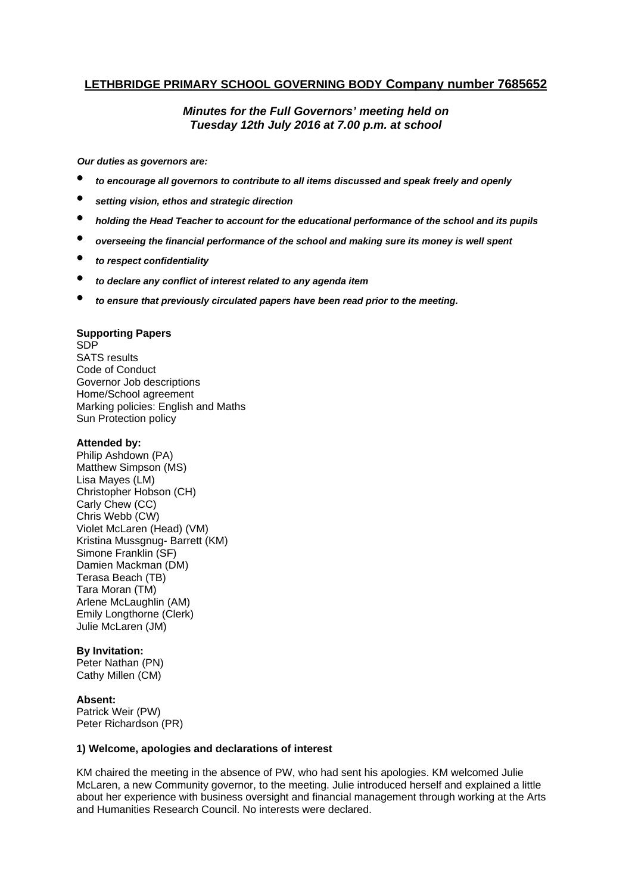# **LETHBRIDGE PRIMARY SCHOOL GOVERNING BODY Company number 7685652**

# *Minutes for the Full Governors' meeting held on Tuesday 12th July 2016 at 7.00 p.m. at school*

*Our duties as governors are:* 

- *to encourage all governors to contribute to all items discussed and speak freely and openly*
- *setting vision, ethos and strategic direction*
- *holding the Head Teacher to account for the educational performance of the school and its pupils*
- *overseeing the financial performance of the school and making sure its money is well spent*
- *to respect confidentiality*
- *to declare any conflict of interest related to any agenda item*
- *to ensure that previously circulated papers have been read prior to the meeting.*

## **Supporting Papers**

SDP SATS results Code of Conduct Governor Job descriptions Home/School agreement Marking policies: English and Maths Sun Protection policy

## **Attended by:**

Philip Ashdown (PA) Matthew Simpson (MS) Lisa Mayes (LM) Christopher Hobson (CH) Carly Chew (CC) Chris Webb (CW) Violet McLaren (Head) (VM) Kristina Mussgnug- Barrett (KM) Simone Franklin (SF) Damien Mackman (DM) Terasa Beach (TB) Tara Moran (TM) Arlene McLaughlin (AM) Emily Longthorne (Clerk) Julie McLaren (JM)

#### **By Invitation:**

Peter Nathan (PN) Cathy Millen (CM)

# **Absent:**

Patrick Weir (PW) Peter Richardson (PR)

# **1) Welcome, apologies and declarations of interest**

KM chaired the meeting in the absence of PW, who had sent his apologies. KM welcomed Julie McLaren, a new Community governor, to the meeting. Julie introduced herself and explained a little about her experience with business oversight and financial management through working at the Arts and Humanities Research Council. No interests were declared.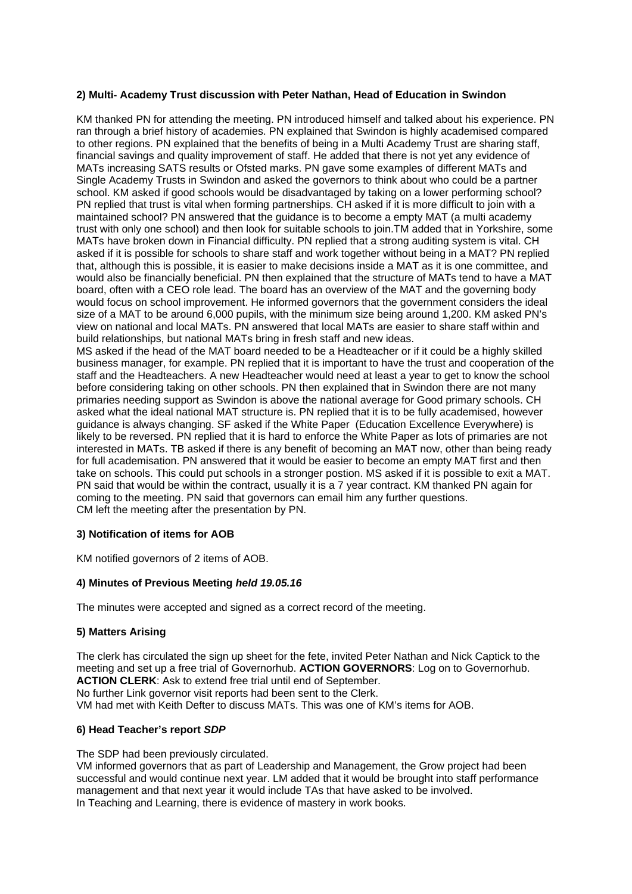# **2) Multi- Academy Trust discussion with Peter Nathan, Head of Education in Swindon**

KM thanked PN for attending the meeting. PN introduced himself and talked about his experience. PN ran through a brief history of academies. PN explained that Swindon is highly academised compared to other regions. PN explained that the benefits of being in a Multi Academy Trust are sharing staff, financial savings and quality improvement of staff. He added that there is not yet any evidence of MATs increasing SATS results or Ofsted marks. PN gave some examples of different MATs and Single Academy Trusts in Swindon and asked the governors to think about who could be a partner school. KM asked if good schools would be disadvantaged by taking on a lower performing school? PN replied that trust is vital when forming partnerships. CH asked if it is more difficult to join with a maintained school? PN answered that the guidance is to become a empty MAT (a multi academy trust with only one school) and then look for suitable schools to join.TM added that in Yorkshire, some MATs have broken down in Financial difficulty. PN replied that a strong auditing system is vital. CH asked if it is possible for schools to share staff and work together without being in a MAT? PN replied that, although this is possible, it is easier to make decisions inside a MAT as it is one committee, and would also be financially beneficial. PN then explained that the structure of MATs tend to have a MAT board, often with a CEO role lead. The board has an overview of the MAT and the governing body would focus on school improvement. He informed governors that the government considers the ideal size of a MAT to be around 6,000 pupils, with the minimum size being around 1,200. KM asked PN's view on national and local MATs. PN answered that local MATs are easier to share staff within and build relationships, but national MATs bring in fresh staff and new ideas.

MS asked if the head of the MAT board needed to be a Headteacher or if it could be a highly skilled business manager, for example. PN replied that it is important to have the trust and cooperation of the staff and the Headteachers. A new Headteacher would need at least a year to get to know the school before considering taking on other schools. PN then explained that in Swindon there are not many primaries needing support as Swindon is above the national average for Good primary schools. CH asked what the ideal national MAT structure is. PN replied that it is to be fully academised, however guidance is always changing. SF asked if the White Paper (Education Excellence Everywhere) is likely to be reversed. PN replied that it is hard to enforce the White Paper as lots of primaries are not interested in MATs. TB asked if there is any benefit of becoming an MAT now, other than being ready for full academisation. PN answered that it would be easier to become an empty MAT first and then take on schools. This could put schools in a stronger postion. MS asked if it is possible to exit a MAT. PN said that would be within the contract, usually it is a 7 year contract. KM thanked PN again for coming to the meeting. PN said that governors can email him any further questions. CM left the meeting after the presentation by PN.

#### **3) Notification of items for AOB**

KM notified governors of 2 items of AOB.

# **4) Minutes of Previous Meeting** *held 19.05.16*

The minutes were accepted and signed as a correct record of the meeting.

#### **5) Matters Arising**

The clerk has circulated the sign up sheet for the fete, invited Peter Nathan and Nick Captick to the meeting and set up a free trial of Governorhub. **ACTION GOVERNORS**: Log on to Governorhub. **ACTION CLERK**: Ask to extend free trial until end of September. No further Link governor visit reports had been sent to the Clerk. VM had met with Keith Defter to discuss MATs. This was one of KM's items for AOB.

# **6) Head Teacher's report** *SDP*

The SDP had been previously circulated.

VM informed governors that as part of Leadership and Management, the Grow project had been successful and would continue next year. LM added that it would be brought into staff performance management and that next year it would include TAs that have asked to be involved. In Teaching and Learning, there is evidence of mastery in work books.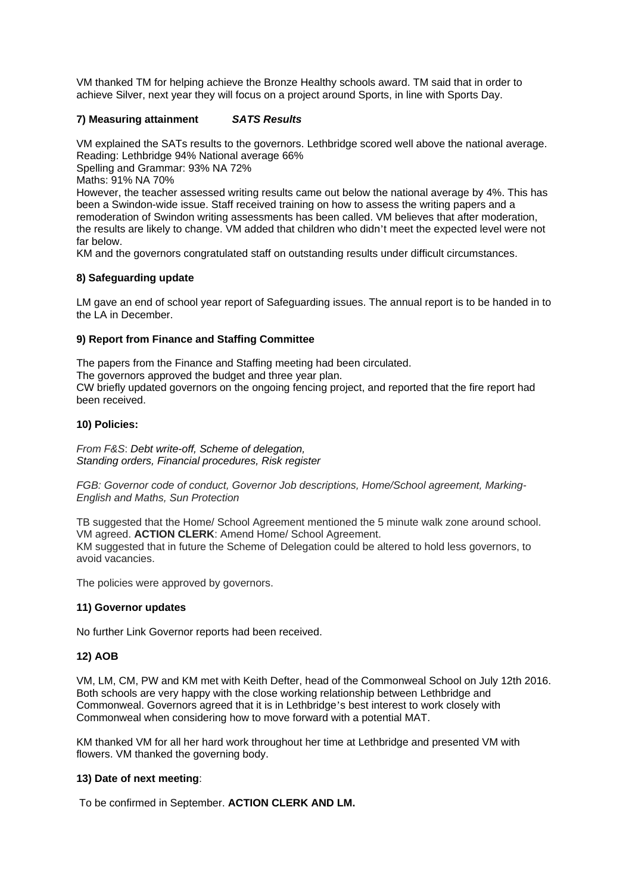VM thanked TM for helping achieve the Bronze Healthy schools award. TM said that in order to achieve Silver, next year they will focus on a project around Sports, in line with Sports Day.

## **7) Measuring attainment** *SATS Results*

VM explained the SATs results to the governors. Lethbridge scored well above the national average. Reading: Lethbridge 94% National average 66%

Spelling and Grammar: 93% NA 72%

Maths: 91% NA 70%

However, the teacher assessed writing results came out below the national average by 4%. This has been a Swindon-wide issue. Staff received training on how to assess the writing papers and a remoderation of Swindon writing assessments has been called. VM believes that after moderation, the results are likely to change. VM added that children who didn't meet the expected level were not far below.

KM and the governors congratulated staff on outstanding results under difficult circumstances.

## **8) Safeguarding update**

LM gave an end of school year report of Safeguarding issues. The annual report is to be handed in to the LA in December.

## **9) Report from Finance and Staffing Committee**

The papers from the Finance and Staffing meeting had been circulated. The governors approved the budget and three year plan. CW briefly updated governors on the ongoing fencing project, and reported that the fire report had been received.

## **10) Policies:**

*From F&S*: *Debt write-off, Scheme of delegation, Standing orders, Financial procedures, Risk register* 

*FGB: Governor code of conduct, Governor Job descriptions, Home/School agreement, Marking-English and Maths, Sun Protection* 

TB suggested that the Home/ School Agreement mentioned the 5 minute walk zone around school. VM agreed. **ACTION CLERK**: Amend Home/ School Agreement. KM suggested that in future the Scheme of Delegation could be altered to hold less governors, to avoid vacancies.

The policies were approved by governors.

#### **11) Governor updates**

No further Link Governor reports had been received.

#### **12) AOB**

VM, LM, CM, PW and KM met with Keith Defter, head of the Commonweal School on July 12th 2016. Both schools are very happy with the close working relationship between Lethbridge and Commonweal. Governors agreed that it is in Lethbridge's best interest to work closely with Commonweal when considering how to move forward with a potential MAT.

KM thanked VM for all her hard work throughout her time at Lethbridge and presented VM with flowers. VM thanked the governing body.

#### **13) Date of next meeting**:

To be confirmed in September. **ACTION CLERK AND LM.**